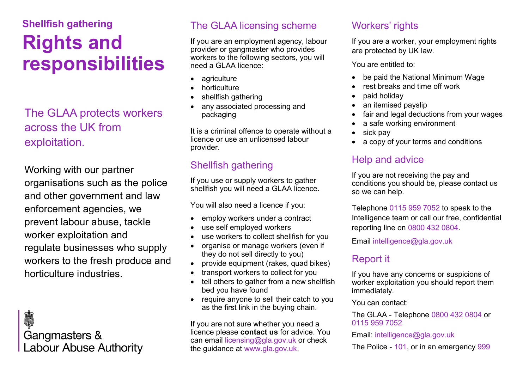# **Shellfish gathering Rights and responsibilities**

## The GLAA protects workers across the UK from exploitation.

Working with our partner organisations such as the police and other government and law enforcement agencies, we prevent labour abuse, tackle worker exploitation and regulate businesses who supply workers to the fresh produce and horticulture industries.

Ó **Gangmasters & Labour Abuse Authority** 

### The GLAA licensing scheme

If you are an employment agency, labour provider or gangmaster who provides workers to the following sectors, you will need a GLAA licence:

- agriculture
- horticulture
- shellfish gathering
- any associated processing and packaging

It is a criminal offence to operate without a licence or use an unlicensed labour provider.

### Shellfish gathering

If you use or supply workers to gather shellfish you will need a GLAA licence.

You will also need a licence if you:

- employ workers under a contract
- use self employed workers
- use workers to collect shellfish for you
- organise or manage workers (even if they do not sell directly to you)
- provide equipment (rakes, quad bikes)
- transport workers to collect for you
- tell others to gather from a new shellfish bed you have found
- require anyone to sell their catch to you as the first link in the buying chain.

If you are not sure whether you need a licence please **contact us** for advice. You can email licensing@gla.gov.uk or check the guidance at www.gla.gov.uk.

### Workers' rights

If you are a worker, your employment rights are protected by UK law.

You are entitled to:

- be paid the National Minimum Wage
- rest breaks and time off work
- paid holiday
- an itemised payslip
- fair and legal deductions from your wages
- a safe working environment
- sick pay
- a copy of your terms and conditions

### Help and advice

If you are not receiving the pay and conditions you should be, please contact us so we can help.

Telephone 0115 959 7052 to speak to the Intelligence team or call our free, confidential reporting line on 0800 432 0804.

Email intelligence@gla.gov.uk

### Report it

If you have any concerns or suspicions of worker exploitation you should report them immediately.

You can contact:

The GLAA - Telephone 0800 432 0804 or 0115 959 7052

Email: intelligence@gla.gov.uk

The Police - 101, or in an emergency 999